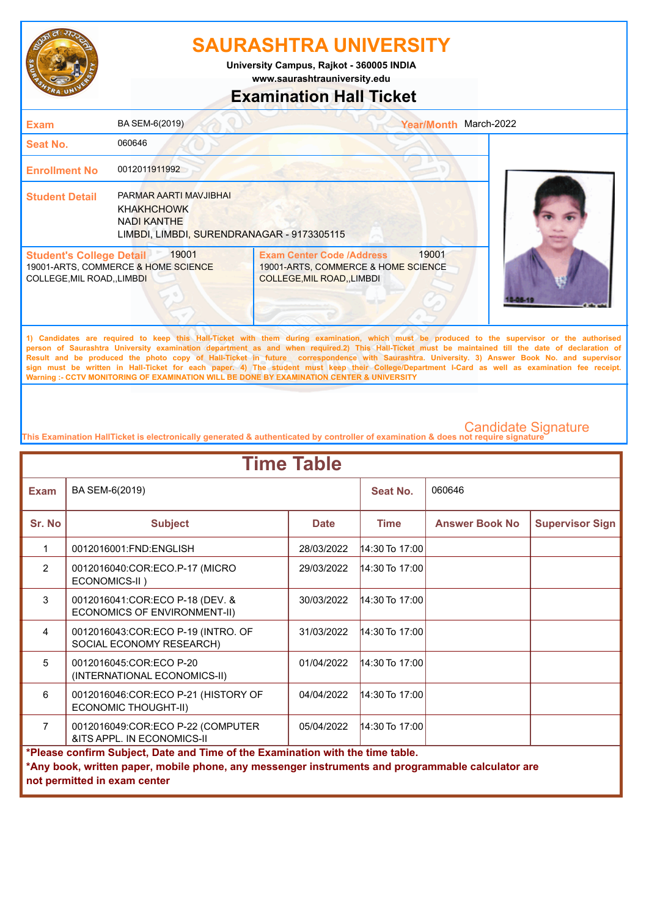

**www.saurashtrauniversity.edu University Campus, Rajkot - 360005 INDIA**

## **Examination Hall Ticket**

| <b>Exam</b>                                                    | BA SEM-6(2019)                                                                                                  |                                                                                                             | <b>Year/Month</b> | March-2022                                                                                                                                  |
|----------------------------------------------------------------|-----------------------------------------------------------------------------------------------------------------|-------------------------------------------------------------------------------------------------------------|-------------------|---------------------------------------------------------------------------------------------------------------------------------------------|
| Seat No.                                                       | 060646                                                                                                          |                                                                                                             |                   |                                                                                                                                             |
| <b>Enrollment No</b>                                           | 0012011911992                                                                                                   |                                                                                                             |                   |                                                                                                                                             |
| <b>Student Detail</b>                                          | PARMAR AARTI MAVJIBHAI<br><b>KHAKHCHOWK</b><br><b>NADI KANTHE</b><br>LIMBDI, LIMBDI, SURENDRANAGAR - 9173305115 |                                                                                                             |                   |                                                                                                                                             |
| <b>Student's College Detail</b><br>COLLEGE, MIL ROAD, , LIMBDI | 19001<br>19001-ARTS, COMMERCE & HOME SCIENCE                                                                    | <b>Exam Center Code /Address</b><br>19001-ARTS, COMMERCE & HOME SCIENCE<br><b>COLLEGE, MIL ROAD, LIMBDI</b> | 19001             |                                                                                                                                             |
|                                                                |                                                                                                                 |                                                                                                             |                   | 1) Candidates are required to keep this Hall-Ticket with them during examination which must be produced to the supervisor or the authorised |

**1) Candidates are required to keep this Hall-Ticket with them during examination, which must be produced to the supervisor or the authorised person of Saurashtra University examination department as and when required.2) This Hall-Ticket must be maintained till the date of declaration of Result and be produced the photo copy of Hall-Ticket in future correspondence with Saurashtra. University. 3) Answer Book No. and supervisor sign must be written in Hall-Ticket for each paper. 4) The student must keep their College/Department I-Card as well as examination fee receipt. Warning :- CCTV MONITORING OF EXAMINATION WILL BE DONE BY EXAMINATION CENTER & UNIVERSITY**

| <b>Time Table</b>                                                              |                                                                                                                                   |             |                  |                       |                        |  |
|--------------------------------------------------------------------------------|-----------------------------------------------------------------------------------------------------------------------------------|-------------|------------------|-----------------------|------------------------|--|
| <b>Exam</b>                                                                    | BA SEM-6(2019)                                                                                                                    |             | Seat No.         | 060646                |                        |  |
| Sr. No                                                                         | <b>Subject</b>                                                                                                                    | <b>Date</b> | <b>Time</b>      | <b>Answer Book No</b> | <b>Supervisor Sign</b> |  |
| 1                                                                              | 0012016001:FND:ENGLISH                                                                                                            | 28/03/2022  | 14:30 To 17:00   |                       |                        |  |
| 2                                                                              | 0012016040:COR:ECO.P-17 (MICRO<br>ECONOMICS-II)                                                                                   | 29/03/2022  | 14:30 To 17:00   |                       |                        |  |
| 3                                                                              | 0012016041:COR:ECO P-18 (DEV. &<br><b>ECONOMICS OF ENVIRONMENT-II)</b>                                                            | 30/03/2022  | $14:30$ To 17:00 |                       |                        |  |
| 4                                                                              | 0012016043:COR:ECO P-19 (INTRO. OF<br>SOCIAL ECONOMY RESEARCH)                                                                    | 31/03/2022  | $14:30$ To 17:00 |                       |                        |  |
| 5                                                                              | 0012016045:COR:ECO P-20<br>(INTERNATIONAL ECONOMICS-II)                                                                           | 01/04/2022  | $14:30$ To 17:00 |                       |                        |  |
| 6                                                                              | 0012016046:COR:ECO P-21 (HISTORY OF<br>ECONOMIC THOUGHT-II)                                                                       | 04/04/2022  | $14:30$ To 17:00 |                       |                        |  |
| $\overline{7}$                                                                 | 0012016049:COR:ECO P-22 (COMPUTER<br>&ITS APPL. IN ECONOMICS-II                                                                   | 05/04/2022  | $14:30$ To 17:00 |                       |                        |  |
| *Please confirm Subject, Date and Time of the Examination with the time table. |                                                                                                                                   |             |                  |                       |                        |  |
|                                                                                | *Any book, written paper, mobile phone, any messenger instruments and programmable calculator are<br>not permitted in exam center |             |                  |                       |                        |  |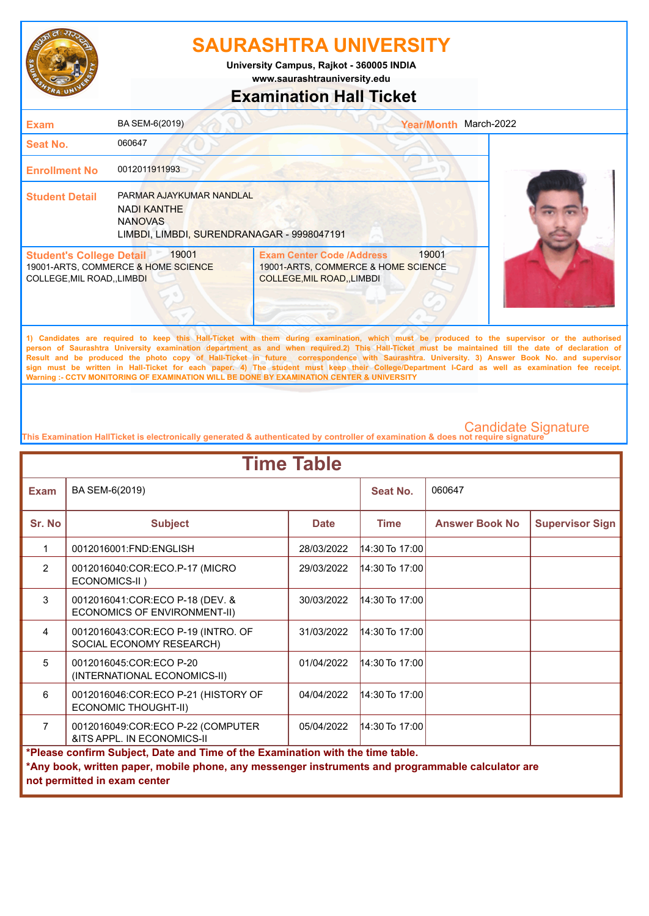

**www.saurashtrauniversity.edu University Campus, Rajkot - 360005 INDIA**

## **Examination Hall Ticket**

| <b>Exam</b>                                                          | BA SEM-6(2019)                                                                                                 | <b>Year/Month</b>                                                                                                                           | March-2022 |
|----------------------------------------------------------------------|----------------------------------------------------------------------------------------------------------------|---------------------------------------------------------------------------------------------------------------------------------------------|------------|
| Seat No.                                                             | 060647                                                                                                         |                                                                                                                                             |            |
| <b>Enrollment No</b>                                                 | 0012011911993                                                                                                  |                                                                                                                                             |            |
| <b>Student Detail</b>                                                | PARMAR AJAYKUMAR NANDLAL<br><b>NADI KANTHE</b><br><b>NANOVAS</b><br>LIMBDI, LIMBDI, SURENDRANAGAR - 9998047191 |                                                                                                                                             |            |
| <b>Student's College Detail</b><br><b>COLLEGE, MIL ROAD,, LIMBDI</b> | 19001<br>19001-ARTS, COMMERCE & HOME SCIENCE                                                                   | 19001<br><b>Exam Center Code /Address</b><br>19001-ARTS, COMMERCE & HOME SCIENCE<br><b>COLLEGE, MIL ROAD, LIMBDI</b>                        |            |
|                                                                      |                                                                                                                | 1) Candidates are required to keep this Hall Ticket with them during examination which must be produced to the supervisor or the authorised |            |

**1) Candidates are required to keep this Hall-Ticket with them during examination, which must be produced to the supervisor or the authorised person of Saurashtra University examination department as and when required.2) This Hall-Ticket must be maintained till the date of declaration of Result and be produced the photo copy of Hall-Ticket in future correspondence with Saurashtra. University. 3) Answer Book No. and supervisor sign must be written in Hall-Ticket for each paper. 4) The student must keep their College/Department I-Card as well as examination fee receipt. Warning :- CCTV MONITORING OF EXAMINATION WILL BE DONE BY EXAMINATION CENTER & UNIVERSITY**

| <b>Time Table</b>                                                              |                                                                                                                                   |             |                  |                       |                        |  |
|--------------------------------------------------------------------------------|-----------------------------------------------------------------------------------------------------------------------------------|-------------|------------------|-----------------------|------------------------|--|
| <b>Exam</b>                                                                    | BA SEM-6(2019)                                                                                                                    |             | Seat No.         | 060647                |                        |  |
| Sr. No                                                                         | <b>Subject</b>                                                                                                                    | <b>Date</b> | <b>Time</b>      | <b>Answer Book No</b> | <b>Supervisor Sign</b> |  |
| 1                                                                              | 0012016001:FND:ENGLISH                                                                                                            | 28/03/2022  | $14:30$ To 17:00 |                       |                        |  |
| $\overline{2}$                                                                 | 0012016040:COR:ECO.P-17 (MICRO<br>ECONOMICS-II)                                                                                   | 29/03/2022  | 14:30 To 17:00   |                       |                        |  |
| 3                                                                              | 0012016041:COR:ECO P-18 (DEV. &<br>ECONOMICS OF ENVIRONMENT-II)                                                                   | 30/03/2022  | $14:30$ To 17:00 |                       |                        |  |
| 4                                                                              | 0012016043:COR:ECO P-19 (INTRO. OF<br>SOCIAL ECONOMY RESEARCH)                                                                    | 31/03/2022  | $14:30$ To 17:00 |                       |                        |  |
| 5                                                                              | 0012016045:COR:ECO P-20<br>(INTERNATIONAL ECONOMICS-II)                                                                           | 01/04/2022  | $14:30$ To 17:00 |                       |                        |  |
| 6                                                                              | 0012016046:COR:ECO P-21 (HISTORY OF<br><b>ECONOMIC THOUGHT-II)</b>                                                                | 04/04/2022  | $14:30$ To 17:00 |                       |                        |  |
| $\overline{7}$                                                                 | 0012016049:COR:ECO P-22 (COMPUTER<br>&ITS APPL. IN ECONOMICS-II                                                                   | 05/04/2022  | $14:30$ To 17:00 |                       |                        |  |
| *Please confirm Subject, Date and Time of the Examination with the time table. |                                                                                                                                   |             |                  |                       |                        |  |
|                                                                                | *Any book, written paper, mobile phone, any messenger instruments and programmable calculator are<br>not permitted in exam center |             |                  |                       |                        |  |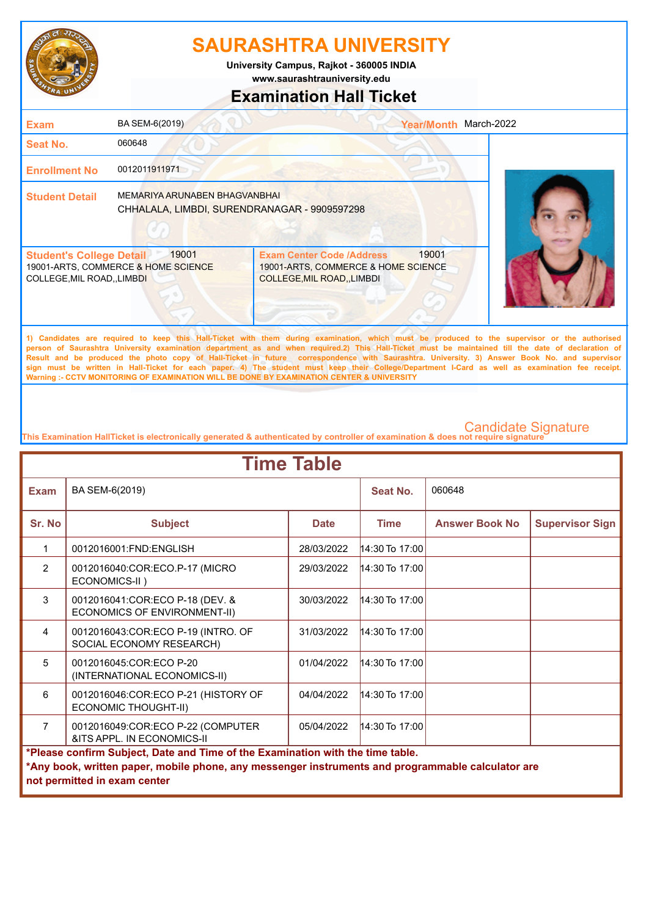

**www.saurashtrauniversity.edu University Campus, Rajkot - 360005 INDIA**

### **Examination Hall Ticket**

| <b>Exam</b>                                                    | BA SEM-6(2019)                                                                |                                                                                                             | <b>Year/Month</b> | March-2022                                                                                                                                                                                                                                                                                           |
|----------------------------------------------------------------|-------------------------------------------------------------------------------|-------------------------------------------------------------------------------------------------------------|-------------------|------------------------------------------------------------------------------------------------------------------------------------------------------------------------------------------------------------------------------------------------------------------------------------------------------|
| <b>Seat No.</b>                                                | 060648                                                                        |                                                                                                             |                   |                                                                                                                                                                                                                                                                                                      |
| <b>Enrollment No</b>                                           | 0012011911971                                                                 |                                                                                                             |                   |                                                                                                                                                                                                                                                                                                      |
| <b>Student Detail</b>                                          | MEMARIYA ARUNABEN BHAGVANBHAI<br>CHHALALA, LIMBDI, SURENDRANAGAR - 9909597298 |                                                                                                             |                   |                                                                                                                                                                                                                                                                                                      |
| <b>Student's College Detail</b><br>COLLEGE, MIL ROAD, , LIMBDI | 19001<br>19001-ARTS, COMMERCE & HOME SCIENCE                                  | <b>Exam Center Code /Address</b><br>19001-ARTS, COMMERCE & HOME SCIENCE<br><b>COLLEGE, MIL ROAD, LIMBDI</b> | 19001             |                                                                                                                                                                                                                                                                                                      |
|                                                                |                                                                               |                                                                                                             |                   | 1) Candidates are required to keep this Hall-Ticket with them during examination, which must be produced to the supervisor or the authorised<br>access of According Habitants, constitution (discussed as and calculated according HallWolfer according to according the discussion of discussion of |

**person of Saurashtra University examination department as and when required.2) This Hall-Ticket must be maintained till the date of declaration of Result and be produced the photo copy of Hall-Ticket in future correspondence with Saurashtra. University. 3) Answer Book No. and supervisor sign must be written in Hall-Ticket for each paper. 4) The student must keep their College/Department I-Card as well as examination fee receipt. Warning :- CCTV MONITORING OF EXAMINATION WILL BE DONE BY EXAMINATION CENTER & UNIVERSITY**

| <b>Time Table</b> |                                                                                                   |             |                  |                       |                        |  |
|-------------------|---------------------------------------------------------------------------------------------------|-------------|------------------|-----------------------|------------------------|--|
| <b>Exam</b>       | BA SEM-6(2019)                                                                                    |             | Seat No.         | 060648                |                        |  |
| Sr. No            | <b>Subject</b>                                                                                    | <b>Date</b> | <b>Time</b>      | <b>Answer Book No</b> | <b>Supervisor Sign</b> |  |
| $\mathbf{1}$      | 0012016001:FND:ENGLISH                                                                            | 28/03/2022  | 14:30 To 17:00   |                       |                        |  |
| $\mathcal{P}$     | 0012016040:COR:ECO.P-17 (MICRO<br>ECONOMICS-II)                                                   | 29/03/2022  | $14:30$ To 17:00 |                       |                        |  |
| $\mathbf{3}$      | 0012016041:COR:ECO P-18 (DEV. &<br>ECONOMICS OF ENVIRONMENT-II)                                   | 30/03/2022  | $14:30$ To 17:00 |                       |                        |  |
| 4                 | 0012016043:COR:ECO P-19 (INTRO. OF<br>SOCIAL ECONOMY RESEARCH)                                    | 31/03/2022  | 14:30 To 17:00   |                       |                        |  |
| 5                 | 0012016045:COR:ECO P-20<br>(INTERNATIONAL ECONOMICS-II)                                           | 01/04/2022  | $14:30$ To 17:00 |                       |                        |  |
| 6                 | 0012016046:COR:ECO P-21 (HISTORY OF<br>ECONOMIC THOUGHT-II)                                       | 04/04/2022  | $14:30$ To 17:00 |                       |                        |  |
| $\overline{7}$    | 0012016049:COR:ECO P-22 (COMPUTER<br>&ITS APPL. IN ECONOMICS-II                                   | 05/04/2022  | $14:30$ To 17:00 |                       |                        |  |
|                   | *Please confirm Subject, Date and Time of the Examination with the time table.                    |             |                  |                       |                        |  |
|                   | *Any book, written paper, mobile phone, any messenger instruments and programmable calculator are |             |                  |                       |                        |  |
|                   | not permitted in exam center                                                                      |             |                  |                       |                        |  |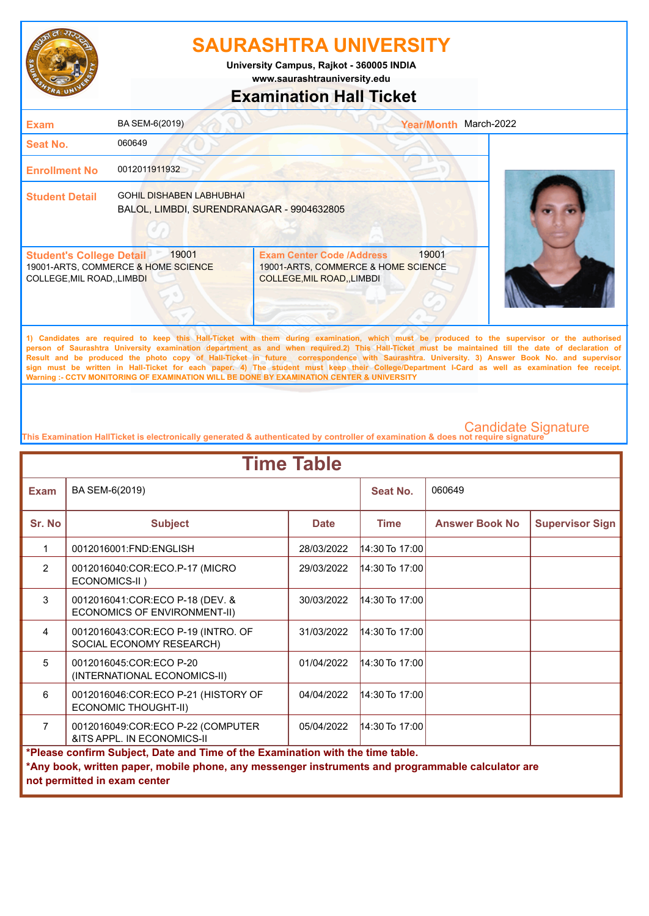

**www.saurashtrauniversity.edu University Campus, Rajkot - 360005 INDIA**

### **Examination Hall Ticket**

| <b>Exam</b>                                                    | BA SEM-6(2019)                                                               |                                                                                                             | <b>Year/Month</b> | March-2022                                                                                                                                   |
|----------------------------------------------------------------|------------------------------------------------------------------------------|-------------------------------------------------------------------------------------------------------------|-------------------|----------------------------------------------------------------------------------------------------------------------------------------------|
| Seat No.                                                       | 060649                                                                       |                                                                                                             |                   |                                                                                                                                              |
| <b>Enrollment No</b>                                           | 0012011911932                                                                |                                                                                                             |                   |                                                                                                                                              |
| <b>Student Detail</b>                                          | <b>GOHIL DISHABEN LABHUBHAI</b><br>BALOL, LIMBDI, SURENDRANAGAR - 9904632805 |                                                                                                             |                   |                                                                                                                                              |
| <b>Student's College Detail</b><br>COLLEGE, MIL ROAD, , LIMBDI | 19001<br>19001-ARTS, COMMERCE & HOME SCIENCE                                 | <b>Exam Center Code /Address</b><br>19001-ARTS, COMMERCE & HOME SCIENCE<br><b>COLLEGE, MIL ROAD, LIMBDI</b> | 19001             |                                                                                                                                              |
|                                                                |                                                                              |                                                                                                             |                   | 1) Candidates are required to keep this Hall-Ticket with them during examination, which must be produced to the supervisor or the authorised |

**person of Saurashtra University examination department as and when required.2) This Hall-Ticket must be maintained till the date of declaration of Result and be produced the photo copy of Hall-Ticket in future correspondence with Saurashtra. University. 3) Answer Book No. and supervisor sign must be written in Hall-Ticket for each paper. 4) The student must keep their College/Department I-Card as well as examination fee receipt. Warning :- CCTV MONITORING OF EXAMINATION WILL BE DONE BY EXAMINATION CENTER & UNIVERSITY**

| <b>Time Table</b>                                                              |                                                                                                                                   |             |                  |                       |                        |  |
|--------------------------------------------------------------------------------|-----------------------------------------------------------------------------------------------------------------------------------|-------------|------------------|-----------------------|------------------------|--|
| <b>Exam</b>                                                                    | BA SEM-6(2019)                                                                                                                    |             | Seat No.         | 060649                |                        |  |
| Sr. No                                                                         | <b>Subject</b>                                                                                                                    | <b>Date</b> | <b>Time</b>      | <b>Answer Book No</b> | <b>Supervisor Sign</b> |  |
| 1                                                                              | 0012016001:FND:ENGLISH                                                                                                            | 28/03/2022  | 14:30 To 17:00   |                       |                        |  |
| $\overline{2}$                                                                 | 0012016040:COR:ECO.P-17 (MICRO<br>ECONOMICS-II)                                                                                   | 29/03/2022  | $14:30$ To 17:00 |                       |                        |  |
| 3                                                                              | 0012016041:COR:ECO P-18 (DEV. &<br>ECONOMICS OF ENVIRONMENT-II)                                                                   | 30/03/2022  | $14:30$ To 17:00 |                       |                        |  |
| 4                                                                              | 0012016043:COR:ECO P-19 (INTRO. OF<br>SOCIAL ECONOMY RESEARCH)                                                                    | 31/03/2022  | $14:30$ To 17:00 |                       |                        |  |
| 5                                                                              | 0012016045:COR:ECO P-20<br>(INTERNATIONAL ECONOMICS-II)                                                                           | 01/04/2022  | $14:30$ To 17:00 |                       |                        |  |
| 6                                                                              | 0012016046:COR:ECO P-21 (HISTORY OF<br><b>ECONOMIC THOUGHT-II)</b>                                                                | 04/04/2022  | $14:30$ To 17:00 |                       |                        |  |
| $\overline{7}$                                                                 | 0012016049:COR:ECO P-22 (COMPUTER<br>&ITS APPL. IN ECONOMICS-II                                                                   | 05/04/2022  | $14:30$ To 17:00 |                       |                        |  |
| *Please confirm Subject, Date and Time of the Examination with the time table. |                                                                                                                                   |             |                  |                       |                        |  |
|                                                                                | *Any book, written paper, mobile phone, any messenger instruments and programmable calculator are<br>not permitted in exam center |             |                  |                       |                        |  |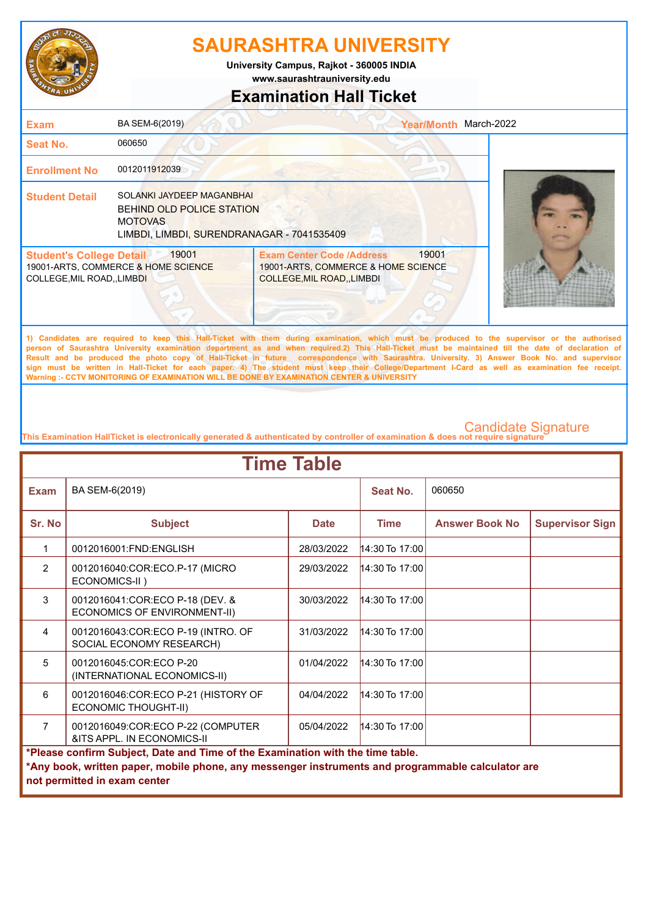

**www.saurashtrauniversity.edu University Campus, Rajkot - 360005 INDIA**

### **Examination Hall Ticket**

| <b>Exam</b>                                                    | BA SEM-6(2019)                                                                                                                |                                                                                                                                                                                                                                                                                                    | Year/Month March-2022 |  |
|----------------------------------------------------------------|-------------------------------------------------------------------------------------------------------------------------------|----------------------------------------------------------------------------------------------------------------------------------------------------------------------------------------------------------------------------------------------------------------------------------------------------|-----------------------|--|
| Seat No.                                                       | 060650                                                                                                                        |                                                                                                                                                                                                                                                                                                    |                       |  |
| <b>Enrollment No</b>                                           | 0012011912039                                                                                                                 |                                                                                                                                                                                                                                                                                                    |                       |  |
| <b>Student Detail</b>                                          | SOLANKI JAYDEEP MAGANBHAI<br><b>BEHIND OLD POLICE STATION</b><br><b>MOTOVAS</b><br>LIMBDI, LIMBDI, SURENDRANAGAR - 7041535409 |                                                                                                                                                                                                                                                                                                    |                       |  |
| <b>Student's College Detail</b><br>COLLEGE, MIL ROAD, , LIMBDI | 19001<br>19001-ARTS, COMMERCE & HOME SCIENCE                                                                                  | <b>Exam Center Code /Address</b><br>19001-ARTS, COMMERCE & HOME SCIENCE<br>COLLEGE, MIL ROAD, , LIMBDI                                                                                                                                                                                             | 19001                 |  |
|                                                                |                                                                                                                               | 1) Candidates are required to keep this Hall-Ticket with them during examination, which must be produced to the supervisor or the authorised<br>person of Saurashtra University examination department as and when required.2) This Hall-Ticket must be maintained till the date of declaration of |                       |  |

**Result and be produced the photo copy of Hall-Ticket in future correspondence with Saurashtra. University. 3) Answer Book No. and supervisor sign must be written in Hall-Ticket for each paper. 4) The student must keep their College/Department I-Card as well as examination fee receipt. Warning :- CCTV MONITORING OF EXAMINATION WILL BE DONE BY EXAMINATION CENTER & UNIVERSITY**

| <b>Time Table</b> |                                                                                                   |             |                  |                       |                        |  |
|-------------------|---------------------------------------------------------------------------------------------------|-------------|------------------|-----------------------|------------------------|--|
| <b>Exam</b>       | BA SEM-6(2019)                                                                                    |             | Seat No.         | 060650                |                        |  |
| Sr. No            | <b>Subject</b>                                                                                    | <b>Date</b> | <b>Time</b>      | <b>Answer Book No</b> | <b>Supervisor Sign</b> |  |
| 1                 | 0012016001:FND:ENGLISH                                                                            | 28/03/2022  | 14:30 To 17:00   |                       |                        |  |
| $\overline{2}$    | 0012016040:COR:ECO.P-17 (MICRO<br>ECONOMICS-II)                                                   | 29/03/2022  | $14:30$ To 17:00 |                       |                        |  |
| 3                 | 0012016041:COR:ECO P-18 (DEV. &<br>ECONOMICS OF ENVIRONMENT-II)                                   | 30/03/2022  | $14:30$ To 17:00 |                       |                        |  |
| 4                 | 0012016043:COR:ECO P-19 (INTRO. OF<br>SOCIAL ECONOMY RESEARCH)                                    | 31/03/2022  | 14:30 To 17:00   |                       |                        |  |
| 5                 | 0012016045:COR:ECO P-20<br>(INTERNATIONAL ECONOMICS-II)                                           | 01/04/2022  | 14:30 To 17:00   |                       |                        |  |
| 6                 | 0012016046:COR:ECO P-21 (HISTORY OF<br>ECONOMIC THOUGHT-II)                                       | 04/04/2022  | $14:30$ To 17:00 |                       |                        |  |
| $\overline{7}$    | 0012016049:COR:ECO P-22 (COMPUTER<br>&ITS APPL. IN ECONOMICS-II                                   | 05/04/2022  | 14:30 To 17:00   |                       |                        |  |
|                   | *Please confirm Subject, Date and Time of the Examination with the time table.                    |             |                  |                       |                        |  |
|                   | *Any book, written paper, mobile phone, any messenger instruments and programmable calculator are |             |                  |                       |                        |  |
|                   | not permitted in exam center                                                                      |             |                  |                       |                        |  |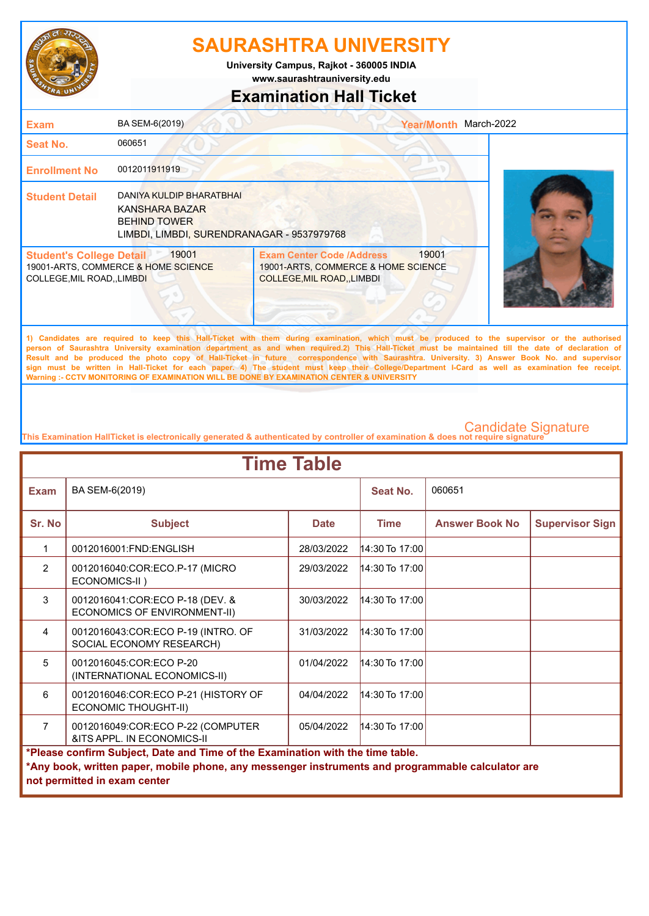

**www.saurashtrauniversity.edu University Campus, Rajkot - 360005 INDIA**

## **Examination Hall Ticket**

| <b>Exam</b>                                                          | BA SEM-6(2019)                                                                                                         |                                                                                                             | Year/Month March-2022 |  |
|----------------------------------------------------------------------|------------------------------------------------------------------------------------------------------------------------|-------------------------------------------------------------------------------------------------------------|-----------------------|--|
| Seat No.                                                             | 060651                                                                                                                 |                                                                                                             |                       |  |
| <b>Enrollment No</b>                                                 | 0012011911919                                                                                                          |                                                                                                             |                       |  |
| <b>Student Detail</b>                                                | <b>DANIYA KULDIP BHARATBHAI</b><br>KANSHARA BAZAR<br><b>BEHIND TOWER</b><br>LIMBDI, LIMBDI, SURENDRANAGAR - 9537979768 |                                                                                                             |                       |  |
| <b>Student's College Detail</b><br><b>COLLEGE, MIL ROAD,, LIMBDI</b> | 19001<br>19001-ARTS, COMMERCE & HOME SCIENCE                                                                           | <b>Exam Center Code /Address</b><br>19001-ARTS, COMMERCE & HOME SCIENCE<br><b>COLLEGE, MIL ROAD, LIMBDI</b> | 19001                 |  |

**1) Candidates are required to keep this Hall-Ticket with them during examination, which must be produced to the supervisor or the authorised person of Saurashtra University examination department as and when required.2) This Hall-Ticket must be maintained till the date of declaration of Result and be produced the photo copy of Hall-Ticket in future correspondence with Saurashtra. University. 3) Answer Book No. and supervisor sign must be written in Hall-Ticket for each paper. 4) The student must keep their College/Department I-Card as well as examination fee receipt. Warning :- CCTV MONITORING OF EXAMINATION WILL BE DONE BY EXAMINATION CENTER & UNIVERSITY**

| <b>Time Table</b>                                                              |                                                                                                                                   |             |                  |                       |                        |  |
|--------------------------------------------------------------------------------|-----------------------------------------------------------------------------------------------------------------------------------|-------------|------------------|-----------------------|------------------------|--|
| <b>Exam</b>                                                                    | BA SEM-6(2019)                                                                                                                    |             | Seat No.         | 060651                |                        |  |
| Sr. No                                                                         | <b>Subject</b>                                                                                                                    | <b>Date</b> | <b>Time</b>      | <b>Answer Book No</b> | <b>Supervisor Sign</b> |  |
| 1                                                                              | 0012016001:FND:ENGLISH                                                                                                            | 28/03/2022  | $14:30$ To 17:00 |                       |                        |  |
| $\overline{2}$                                                                 | 0012016040:COR:ECO.P-17 (MICRO<br>ECONOMICS-II)                                                                                   | 29/03/2022  | 14:30 To 17:00   |                       |                        |  |
| 3                                                                              | 0012016041:COR:ECO P-18 (DEV. &<br>ECONOMICS OF ENVIRONMENT-II)                                                                   | 30/03/2022  | 14:30 To 17:00   |                       |                        |  |
| $\overline{4}$                                                                 | 0012016043:COR:ECO P-19 (INTRO. OF<br>SOCIAL ECONOMY RESEARCH)                                                                    | 31/03/2022  | $14:30$ To 17:00 |                       |                        |  |
| $5^{\circ}$                                                                    | 0012016045:COR:ECO P-20<br>(INTERNATIONAL ECONOMICS-II)                                                                           | 01/04/2022  | $14:30$ To 17:00 |                       |                        |  |
| 6                                                                              | 0012016046:COR:ECO P-21 (HISTORY OF<br>ECONOMIC THOUGHT-II)                                                                       | 04/04/2022  | $14:30$ To 17:00 |                       |                        |  |
| $\overline{7}$                                                                 | 0012016049:COR:ECO P-22 (COMPUTER<br>&ITS APPL. IN ECONOMICS-II                                                                   | 05/04/2022  | $14:30$ To 17:00 |                       |                        |  |
| *Please confirm Subject, Date and Time of the Examination with the time table. |                                                                                                                                   |             |                  |                       |                        |  |
|                                                                                | *Any book, written paper, mobile phone, any messenger instruments and programmable calculator are<br>not permitted in exam center |             |                  |                       |                        |  |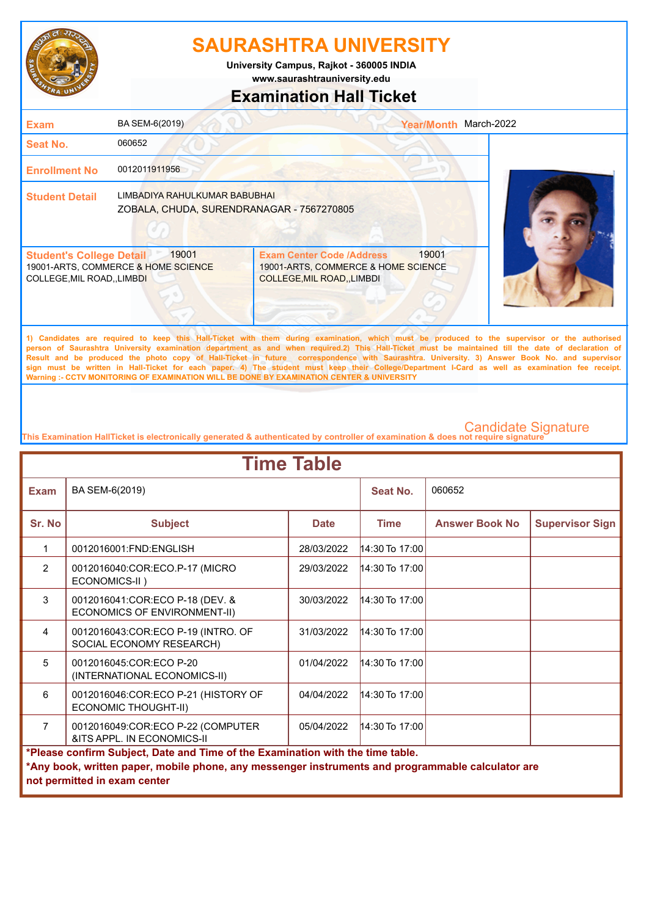

**www.saurashtrauniversity.edu University Campus, Rajkot - 360005 INDIA**

## **Examination Hall Ticket**

| <b>Exam</b>                                                    | BA SEM-6(2019)                                                             |                                                                                                                                             | <b>Year/Month</b> | March-2022 |
|----------------------------------------------------------------|----------------------------------------------------------------------------|---------------------------------------------------------------------------------------------------------------------------------------------|-------------------|------------|
| <b>Seat No.</b>                                                | 060652                                                                     |                                                                                                                                             |                   |            |
| <b>Enrollment No</b>                                           | 0012011911956                                                              |                                                                                                                                             |                   |            |
| <b>Student Detail</b>                                          | LIMBADIYA RAHULKUMAR BABUBHAI<br>ZOBALA, CHUDA, SURENDRANAGAR - 7567270805 |                                                                                                                                             |                   |            |
| <b>Student's College Detail</b><br>COLLEGE, MIL ROAD, , LIMBDI | 19001<br>19001-ARTS, COMMERCE & HOME SCIENCE                               | <b>Exam Center Code /Address</b><br>19001-ARTS, COMMERCE & HOME SCIENCE<br><b>COLLEGE, MIL ROAD, LIMBDI</b>                                 | 19001             |            |
|                                                                |                                                                            | 1) Candidates are required to keep this Hall-Ticket with them during examination which must be produced to the supervisor or the authorised |                   |            |

**1) Candidates are required to keep this Hall-Ticket with them during examination, which must be produced to the supervisor or the authorised person of Saurashtra University examination department as and when required.2) This Hall-Ticket must be maintained till the date of declaration of Result and be produced the photo copy of Hall-Ticket in future correspondence with Saurashtra. University. 3) Answer Book No. and supervisor sign must be written in Hall-Ticket for each paper. 4) The student must keep their College/Department I-Card as well as examination fee receipt. Warning :- CCTV MONITORING OF EXAMINATION WILL BE DONE BY EXAMINATION CENTER & UNIVERSITY**

| <b>Time Table</b>                                                              |                                                                                                                                   |             |                  |                       |                        |  |
|--------------------------------------------------------------------------------|-----------------------------------------------------------------------------------------------------------------------------------|-------------|------------------|-----------------------|------------------------|--|
| <b>Exam</b>                                                                    | BA SEM-6(2019)                                                                                                                    |             | Seat No.         | 060652                |                        |  |
| Sr. No                                                                         | <b>Subject</b>                                                                                                                    | <b>Date</b> | <b>Time</b>      | <b>Answer Book No</b> | <b>Supervisor Sign</b> |  |
| $\mathbf 1$                                                                    | 0012016001:FND:ENGLISH                                                                                                            | 28/03/2022  | 14:30 To 17:00   |                       |                        |  |
| $\overline{2}$                                                                 | 0012016040:COR:ECO.P-17 (MICRO<br>ECONOMICS-II)                                                                                   | 29/03/2022  | $14:30$ To 17:00 |                       |                        |  |
| 3                                                                              | 0012016041:COR:ECO P-18 (DEV. &<br>ECONOMICS OF ENVIRONMENT-II)                                                                   | 30/03/2022  | $14:30$ To 17:00 |                       |                        |  |
| $\overline{4}$                                                                 | 0012016043:COR:ECO P-19 (INTRO. OF<br>SOCIAL ECONOMY RESEARCH)                                                                    | 31/03/2022  | $14:30$ To 17:00 |                       |                        |  |
| 5                                                                              | 0012016045:COR:ECO P-20<br>(INTERNATIONAL ECONOMICS-II)                                                                           | 01/04/2022  | $14:30$ To 17:00 |                       |                        |  |
| 6                                                                              | 0012016046:COR:ECO P-21 (HISTORY OF<br><b>ECONOMIC THOUGHT-II)</b>                                                                | 04/04/2022  | $14:30$ To 17:00 |                       |                        |  |
| $\overline{7}$                                                                 | 0012016049:COR:ECO P-22 (COMPUTER<br>&ITS APPL. IN ECONOMICS-II                                                                   | 05/04/2022  | $14:30$ To 17:00 |                       |                        |  |
| *Please confirm Subject, Date and Time of the Examination with the time table. |                                                                                                                                   |             |                  |                       |                        |  |
|                                                                                | *Any book, written paper, mobile phone, any messenger instruments and programmable calculator are<br>not permitted in exam center |             |                  |                       |                        |  |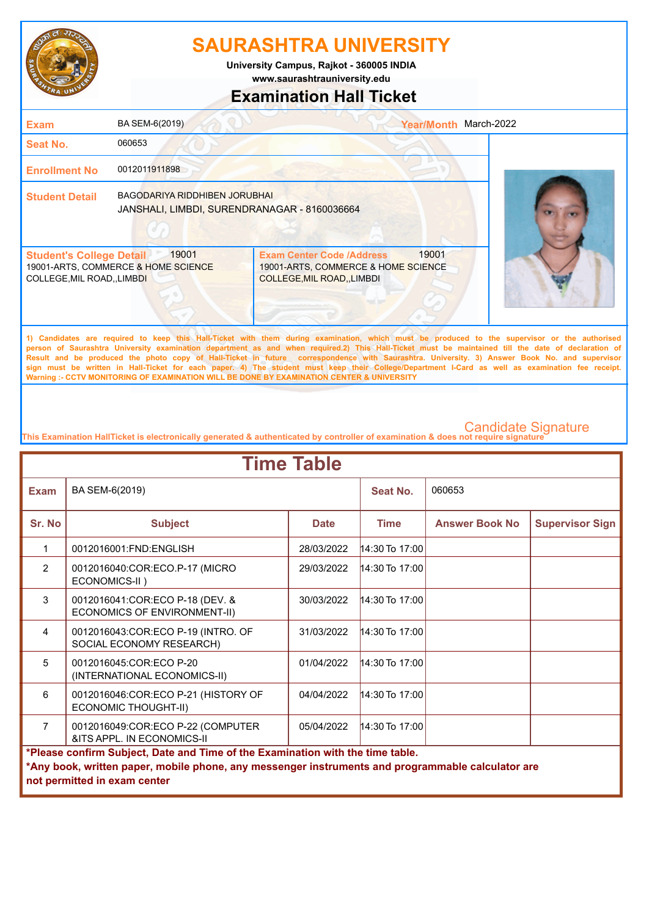

**www.saurashtrauniversity.edu University Campus, Rajkot - 360005 INDIA**

## **Examination Hall Ticket**

| <b>Exam</b>                                                          | BA SEM-6(2019)                                                                |                                                                                                                                             | <b>Year/Month</b> | March-2022 |
|----------------------------------------------------------------------|-------------------------------------------------------------------------------|---------------------------------------------------------------------------------------------------------------------------------------------|-------------------|------------|
| Seat No.                                                             | 060653                                                                        |                                                                                                                                             |                   |            |
| <b>Enrollment No</b>                                                 | 0012011911898                                                                 |                                                                                                                                             |                   |            |
| <b>Student Detail</b>                                                | BAGODARIYA RIDDHIBEN JORUBHAI<br>JANSHALI, LIMBDI, SURENDRANAGAR - 8160036664 |                                                                                                                                             |                   |            |
| <b>Student's College Detail</b><br><b>COLLEGE, MIL ROAD,, LIMBDI</b> | 19001<br>19001-ARTS, COMMERCE & HOME SCIENCE                                  | <b>Exam Center Code /Address</b><br>19001-ARTS, COMMERCE & HOME SCIENCE<br><b>COLLEGE, MIL ROAD, LIMBDI</b>                                 | 19001             |            |
|                                                                      |                                                                               | 4) Condidates are required to keep this Uall Ticket with them during examination which must be produced to the europeiner or the outborized |                   |            |

**1) Candidates are required to keep this Hall-Ticket with them during examination, which must be produced to the supervisor or the authorised person of Saurashtra University examination department as and when required.2) This Hall-Ticket must be maintained till the date of declaration of Result and be produced the photo copy of Hall-Ticket in future correspondence with Saurashtra. University. 3) Answer Book No. and supervisor sign must be written in Hall-Ticket for each paper. 4) The student must keep their College/Department I-Card as well as examination fee receipt. Warning :- CCTV MONITORING OF EXAMINATION WILL BE DONE BY EXAMINATION CENTER & UNIVERSITY**

| <b>Time Table</b>                                                              |                                                                                                                                   |             |                  |                       |                        |  |
|--------------------------------------------------------------------------------|-----------------------------------------------------------------------------------------------------------------------------------|-------------|------------------|-----------------------|------------------------|--|
| <b>Exam</b>                                                                    | BA SEM-6(2019)                                                                                                                    |             | Seat No.         | 060653                |                        |  |
| Sr. No                                                                         | <b>Subject</b>                                                                                                                    | <b>Date</b> | <b>Time</b>      | <b>Answer Book No</b> | <b>Supervisor Sign</b> |  |
| $\mathbf 1$                                                                    | 0012016001:FND:ENGLISH                                                                                                            | 28/03/2022  | $14:30$ To 17:00 |                       |                        |  |
| $\overline{2}$                                                                 | 0012016040:COR:ECO.P-17 (MICRO<br>ECONOMICS-II)                                                                                   | 29/03/2022  | $14:30$ To 17:00 |                       |                        |  |
| 3                                                                              | 0012016041:COR:ECO P-18 (DEV. &<br>ECONOMICS OF ENVIRONMENT-II)                                                                   | 30/03/2022  | 14:30 To 17:00   |                       |                        |  |
| $\overline{4}$                                                                 | 0012016043:COR:ECO P-19 (INTRO. OF<br>SOCIAL ECONOMY RESEARCH)                                                                    | 31/03/2022  | $14:30$ To 17:00 |                       |                        |  |
| 5                                                                              | 0012016045:COR:ECO P-20<br>(INTERNATIONAL ECONOMICS-II)                                                                           | 01/04/2022  | $14:30$ To 17:00 |                       |                        |  |
| 6                                                                              | 0012016046:COR:ECO P-21 (HISTORY OF<br><b>ECONOMIC THOUGHT-II)</b>                                                                | 04/04/2022  | $14:30$ To 17:00 |                       |                        |  |
| $\overline{7}$                                                                 | 0012016049:COR:ECO P-22 (COMPUTER<br>&ITS APPL. IN ECONOMICS-II                                                                   | 05/04/2022  | $14:30$ To 17:00 |                       |                        |  |
| *Please confirm Subject, Date and Time of the Examination with the time table. |                                                                                                                                   |             |                  |                       |                        |  |
|                                                                                | *Any book, written paper, mobile phone, any messenger instruments and programmable calculator are<br>not permitted in exam center |             |                  |                       |                        |  |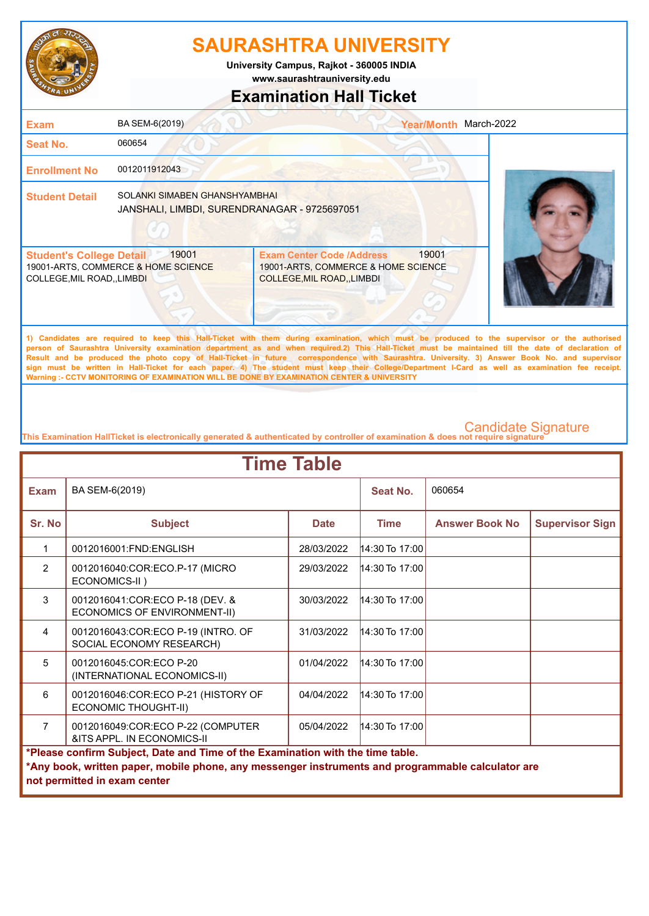

**www.saurashtrauniversity.edu University Campus, Rajkot - 360005 INDIA**

## **Examination Hall Ticket**

| <b>Exam</b>                                                    | BA SEM-6(2019)                                                                |                                                                                                                                             | March-2022<br><b>Year/Month</b> |  |
|----------------------------------------------------------------|-------------------------------------------------------------------------------|---------------------------------------------------------------------------------------------------------------------------------------------|---------------------------------|--|
| Seat No.                                                       | 060654                                                                        |                                                                                                                                             |                                 |  |
| <b>Enrollment No</b>                                           | 0012011912043                                                                 |                                                                                                                                             |                                 |  |
| <b>Student Detail</b>                                          | SOLANKI SIMABEN GHANSHYAMBHAI<br>JANSHALI, LIMBDI, SURENDRANAGAR - 9725697051 |                                                                                                                                             |                                 |  |
| <b>Student's College Detail</b><br>COLLEGE, MIL ROAD, , LIMBDI | 19001<br>19001-ARTS, COMMERCE & HOME SCIENCE                                  | <b>Exam Center Code /Address</b><br>19001-ARTS, COMMERCE & HOME SCIENCE<br>COLLEGE, MIL ROAD, , LIMBDI                                      | 19001                           |  |
|                                                                |                                                                               | 1) Candidates are required to keep this Hall Ticket with them during examination which must be produced to the supervisor or the authorized |                                 |  |

**1) Candidates are required to keep this Hall-Ticket with them during examination, which must be produced to the supervisor or the authorised person of Saurashtra University examination department as and when required.2) This Hall-Ticket must be maintained till the date of declaration of Result and be produced the photo copy of Hall-Ticket in future correspondence with Saurashtra. University. 3) Answer Book No. and supervisor sign must be written in Hall-Ticket for each paper. 4) The student must keep their College/Department I-Card as well as examination fee receipt. Warning :- CCTV MONITORING OF EXAMINATION WILL BE DONE BY EXAMINATION CENTER & UNIVERSITY**

| <b>Time Table</b>                                                              |                                                                                                                                   |             |                  |                       |                        |  |
|--------------------------------------------------------------------------------|-----------------------------------------------------------------------------------------------------------------------------------|-------------|------------------|-----------------------|------------------------|--|
| <b>Exam</b>                                                                    | BA SEM-6(2019)                                                                                                                    |             | Seat No.         | 060654                |                        |  |
| Sr. No                                                                         | <b>Subject</b>                                                                                                                    | <b>Date</b> | <b>Time</b>      | <b>Answer Book No</b> | <b>Supervisor Sign</b> |  |
| $\mathbf{1}$                                                                   | 0012016001:FND:ENGLISH                                                                                                            | 28/03/2022  | $14:30$ To 17:00 |                       |                        |  |
| $\overline{2}$                                                                 | 0012016040:COR:ECO.P-17 (MICRO<br>ECONOMICS-II)                                                                                   | 29/03/2022  | $14:30$ To 17:00 |                       |                        |  |
| 3                                                                              | 0012016041:COR:ECO P-18 (DEV. &<br>ECONOMICS OF ENVIRONMENT-II)                                                                   | 30/03/2022  | $14:30$ To 17:00 |                       |                        |  |
| 4                                                                              | 0012016043:COR:ECO P-19 (INTRO. OF<br>SOCIAL ECONOMY RESEARCH)                                                                    | 31/03/2022  | $14:30$ To 17:00 |                       |                        |  |
| 5                                                                              | 0012016045:COR:ECO P-20<br>(INTERNATIONAL ECONOMICS-II)                                                                           | 01/04/2022  | $14:30$ To 17:00 |                       |                        |  |
| 6                                                                              | 0012016046:COR:ECO P-21 (HISTORY OF<br><b>ECONOMIC THOUGHT-II)</b>                                                                | 04/04/2022  | $14:30$ To 17:00 |                       |                        |  |
| $\overline{7}$                                                                 | 0012016049:COR:ECO P-22 (COMPUTER<br>&ITS APPL. IN ECONOMICS-II                                                                   | 05/04/2022  | $14:30$ To 17:00 |                       |                        |  |
| *Please confirm Subject, Date and Time of the Examination with the time table. |                                                                                                                                   |             |                  |                       |                        |  |
|                                                                                | *Any book, written paper, mobile phone, any messenger instruments and programmable calculator are<br>not permitted in exam center |             |                  |                       |                        |  |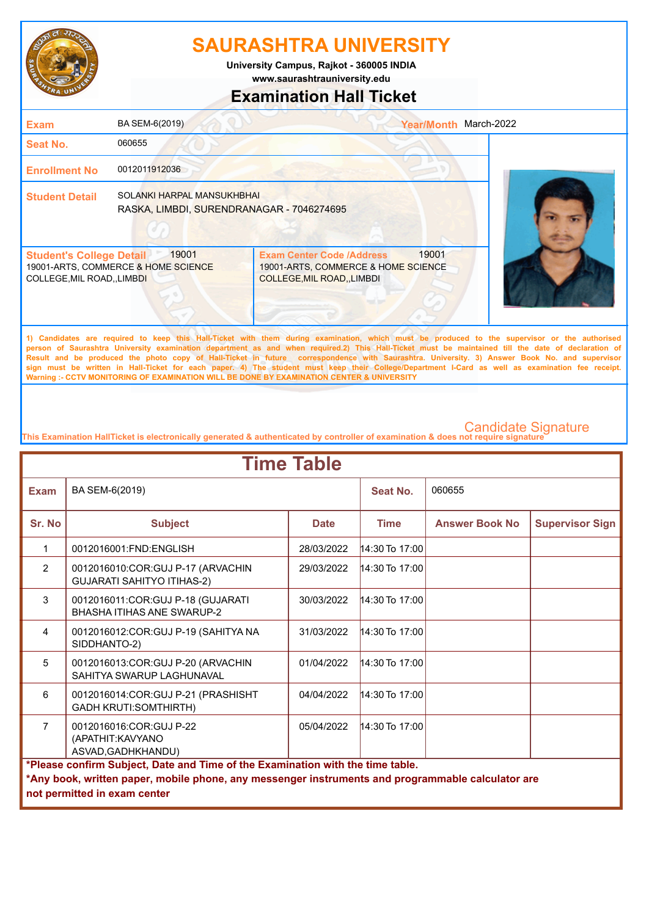

**www.saurashtrauniversity.edu University Campus, Rajkot - 360005 INDIA**

## **Examination Hall Ticket**

| <b>Exam</b>                                                    | BA SEM-6(2019)                                                          |                                                                                                       | March-2022<br><b>Year/Month</b> |
|----------------------------------------------------------------|-------------------------------------------------------------------------|-------------------------------------------------------------------------------------------------------|---------------------------------|
| <b>Seat No.</b>                                                | 060655                                                                  |                                                                                                       |                                 |
| <b>Enrollment No</b>                                           | 0012011912036                                                           |                                                                                                       |                                 |
| <b>Student Detail</b>                                          | SOLANKI HARPAL MANSUKHBHAI<br>RASKA, LIMBDI, SURENDRANAGAR - 7046274695 |                                                                                                       |                                 |
| <b>Student's College Detail</b><br>COLLEGE, MIL ROAD, , LIMBDI | 19001<br>19001-ARTS, COMMERCE & HOME SCIENCE                            | <b>Exam Center Code /Address</b><br>19001-ARTS, COMMERCE & HOME SCIENCE<br>COLLEGE, MIL ROAD,, LIMBDI | 19001                           |

**1) Candidates are required to keep this Hall-Ticket with them during examination, which must be produced to the supervisor or the authorised person of Saurashtra University examination department as and when required.2) This Hall-Ticket must be maintained till the date of declaration of Result and be produced the photo copy of Hall-Ticket in future correspondence with Saurashtra. University. 3) Answer Book No. and supervisor sign must be written in Hall-Ticket for each paper. 4) The student must keep their College/Department I-Card as well as examination fee receipt. Warning :- CCTV MONITORING OF EXAMINATION WILL BE DONE BY EXAMINATION CENTER & UNIVERSITY**

| <b>Time Table</b>                                                                                                                                                                                                   |                                                                          |             |                  |                       |                        |  |
|---------------------------------------------------------------------------------------------------------------------------------------------------------------------------------------------------------------------|--------------------------------------------------------------------------|-------------|------------------|-----------------------|------------------------|--|
| <b>Exam</b>                                                                                                                                                                                                         | BA SEM-6(2019)                                                           |             | Seat No.         | 060655                |                        |  |
| Sr. No                                                                                                                                                                                                              | <b>Subject</b>                                                           | <b>Date</b> | <b>Time</b>      | <b>Answer Book No</b> | <b>Supervisor Sign</b> |  |
| 1                                                                                                                                                                                                                   | 0012016001:FND:ENGLISH                                                   | 28/03/2022  | 14:30 To 17:00   |                       |                        |  |
| $\overline{2}$                                                                                                                                                                                                      | 0012016010:COR:GUJ P-17 (ARVACHIN<br><b>GUJARATI SAHITYO ITIHAS-2)</b>   | 29/03/2022  | $14:30$ To 17:00 |                       |                        |  |
| 3                                                                                                                                                                                                                   | 0012016011: COR: GUJ P-18 (GUJARATI<br><b>BHASHA ITIHAS ANE SWARUP-2</b> | 30/03/2022  | $14:30$ To 17:00 |                       |                        |  |
| 4                                                                                                                                                                                                                   | 0012016012:COR:GUJ P-19 (SAHITYA NA<br>SIDDHANTO-2)                      | 31/03/2022  | $14:30$ To 17:00 |                       |                        |  |
| 5                                                                                                                                                                                                                   | 0012016013:COR:GUJ P-20 (ARVACHIN<br>SAHITYA SWARUP LAGHUNAVAL           | 01/04/2022  | $14:30$ To 17:00 |                       |                        |  |
| 6                                                                                                                                                                                                                   | 0012016014:COR:GUJ P-21 (PRASHISHT<br><b>GADH KRUTI:SOMTHIRTH)</b>       | 04/04/2022  | $14:30$ To 17:00 |                       |                        |  |
| $\overline{7}$                                                                                                                                                                                                      | 0012016016:COR:GUJ P-22<br>(APATHIT: KAVYANO<br>ASVAD, GADHKHANDU)       | 05/04/2022  | $14:30$ To 17:00 |                       |                        |  |
| *Please confirm Subject, Date and Time of the Examination with the time table.<br>*Any book, written paper, mobile phone, any messenger instruments and programmable calculator are<br>not permitted in exam center |                                                                          |             |                  |                       |                        |  |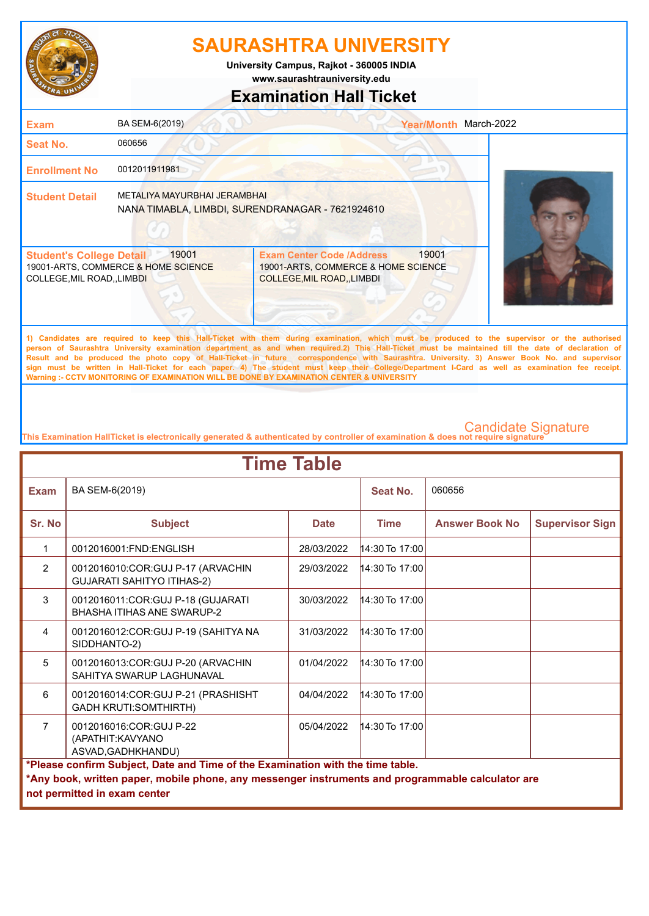

**www.saurashtrauniversity.edu University Campus, Rajkot - 360005 INDIA**

## **Examination Hall Ticket**

| <b>Exam</b>                                                    | BA SEM-6(2019)                                                                   |                                                                                                             | <b>Year/Month</b> | March-2022                                                                                                                                   |
|----------------------------------------------------------------|----------------------------------------------------------------------------------|-------------------------------------------------------------------------------------------------------------|-------------------|----------------------------------------------------------------------------------------------------------------------------------------------|
| <b>Seat No.</b>                                                | 060656                                                                           |                                                                                                             |                   |                                                                                                                                              |
| <b>Enrollment No</b>                                           | 0012011911981                                                                    |                                                                                                             |                   |                                                                                                                                              |
| <b>Student Detail</b>                                          | METALIYA MAYURBHAI JERAMBHAI<br>NANA TIMABLA, LIMBDI, SURENDRANAGAR - 7621924610 |                                                                                                             |                   |                                                                                                                                              |
| <b>Student's College Detail</b><br>COLLEGE, MIL ROAD, , LIMBDI | 19001<br>19001-ARTS, COMMERCE & HOME SCIENCE                                     | <b>Exam Center Code /Address</b><br>19001-ARTS, COMMERCE & HOME SCIENCE<br><b>COLLEGE, MIL ROAD, LIMBDI</b> | 19001             |                                                                                                                                              |
|                                                                |                                                                                  |                                                                                                             |                   | 1) Candidates are required to keep this Hall-Ticket with them during examination, which must be produced to the supervisor or the authorised |

**person of Saurashtra University examination department as and when required.2) This Hall-Ticket must be maintained till the date of declaration of Result and be produced the photo copy of Hall-Ticket in future correspondence with Saurashtra. University. 3) Answer Book No. and supervisor sign must be written in Hall-Ticket for each paper. 4) The student must keep their College/Department I-Card as well as examination fee receipt. Warning :- CCTV MONITORING OF EXAMINATION WILL BE DONE BY EXAMINATION CENTER & UNIVERSITY**

| <b>Time Table</b> |                                                                                                                                                                                                                     |             |                  |                       |                        |  |
|-------------------|---------------------------------------------------------------------------------------------------------------------------------------------------------------------------------------------------------------------|-------------|------------------|-----------------------|------------------------|--|
| <b>Exam</b>       | BA SEM-6(2019)                                                                                                                                                                                                      |             | Seat No.         | 060656                |                        |  |
| Sr. No            | <b>Subject</b>                                                                                                                                                                                                      | <b>Date</b> | <b>Time</b>      | <b>Answer Book No</b> | <b>Supervisor Sign</b> |  |
| 1                 | 0012016001:FND:ENGLISH                                                                                                                                                                                              | 28/03/2022  | $14:30$ To 17:00 |                       |                        |  |
| $\overline{2}$    | 0012016010:COR:GUJ P-17 (ARVACHIN<br><b>GUJARATI SAHITYO ITIHAS-2)</b>                                                                                                                                              | 29/03/2022  | $14:30$ To 17:00 |                       |                        |  |
| 3                 | 0012016011:COR:GUJ P-18 (GUJARATI<br><b>BHASHA ITIHAS ANF SWARUP-2</b>                                                                                                                                              | 30/03/2022  | $14:30$ To 17:00 |                       |                        |  |
| $\overline{4}$    | 0012016012:COR:GUJ P-19 (SAHITYA NA<br>SIDDHANTO-2)                                                                                                                                                                 | 31/03/2022  | 14:30 To 17:00   |                       |                        |  |
| 5                 | 0012016013:COR:GUJ P-20 (ARVACHIN<br>SAHITYA SWARUP LAGHUNAVAL                                                                                                                                                      | 01/04/2022  | $14:30$ To 17:00 |                       |                        |  |
| 6                 | 0012016014: COR: GUJ P-21 (PRASHISHT<br><b>GADH KRUTI:SOMTHIRTH)</b>                                                                                                                                                | 04/04/2022  | $14:30$ To 17:00 |                       |                        |  |
| $\overline{7}$    | 0012016016:COR:GUJ P-22<br>(APATHIT: KAVYANO<br>ASVAD, GADHKHANDU)                                                                                                                                                  | 05/04/2022  | $14:30$ To 17:00 |                       |                        |  |
|                   | *Please confirm Subject, Date and Time of the Examination with the time table.<br>*Any book, written paper, mobile phone, any messenger instruments and programmable calculator are<br>not permitted in exam center |             |                  |                       |                        |  |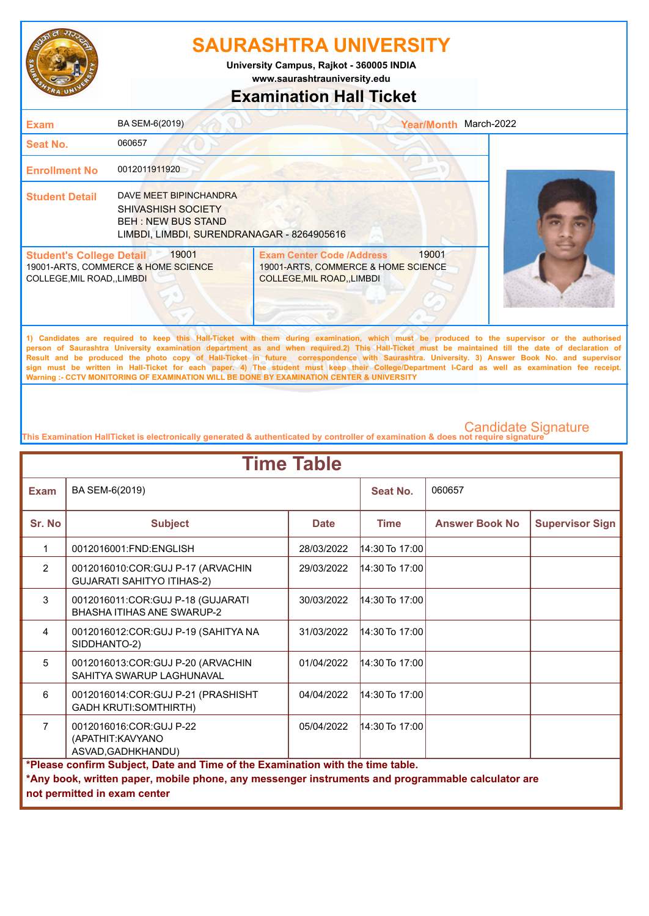

**www.saurashtrauniversity.edu University Campus, Rajkot - 360005 INDIA**

## **Examination Hall Ticket**

| <b>Exam</b>                                                         | BA SEM-6(2019)                                                                                                                 |                                                                                                             | Year/Month March-2022 |                                                                                                                                             |
|---------------------------------------------------------------------|--------------------------------------------------------------------------------------------------------------------------------|-------------------------------------------------------------------------------------------------------------|-----------------------|---------------------------------------------------------------------------------------------------------------------------------------------|
| <b>Seat No.</b>                                                     | 060657                                                                                                                         |                                                                                                             |                       |                                                                                                                                             |
| <b>Enrollment No</b>                                                | 0012011911920                                                                                                                  |                                                                                                             |                       |                                                                                                                                             |
| <b>Student Detail</b>                                               | DAVE MEET BIPINCHANDRA<br><b>SHIVASHISH SOCIETY</b><br><b>BEH: NEW BUS STAND</b><br>LIMBDI, LIMBDI, SURENDRANAGAR - 8264905616 |                                                                                                             |                       |                                                                                                                                             |
| <b>Student's College Detail</b><br><b>COLLEGE, MIL ROAD, LIMBDI</b> | 19001<br>19001-ARTS, COMMERCE & HOME SCIENCE                                                                                   | <b>Exam Center Code /Address</b><br>19001-ARTS, COMMERCE & HOME SCIENCE<br><b>COLLEGE, MIL ROAD, LIMBDI</b> | 19001                 |                                                                                                                                             |
|                                                                     |                                                                                                                                |                                                                                                             |                       | 1) Candidates are required to keep this Hall-Ticket with them during examination which must be produced to the supervisor or the authorised |

**1) Candidates are required to keep this Hall-Ticket with them during examination, which must be produced to the supervisor or the authorised person of Saurashtra University examination department as and when required.2) This Hall-Ticket must be maintained till the date of declaration of Result and be produced the photo copy of Hall-Ticket in future correspondence with Saurashtra. University. 3) Answer Book No. and supervisor sign must be written in Hall-Ticket for each paper. 4) The student must keep their College/Department I-Card as well as examination fee receipt. Warning :- CCTV MONITORING OF EXAMINATION WILL BE DONE BY EXAMINATION CENTER & UNIVERSITY**

| <b>Time Table</b>                                                                                                                                                                                                   |                                                                        |             |                  |                       |                        |  |
|---------------------------------------------------------------------------------------------------------------------------------------------------------------------------------------------------------------------|------------------------------------------------------------------------|-------------|------------------|-----------------------|------------------------|--|
| <b>Exam</b>                                                                                                                                                                                                         | BA SEM-6(2019)                                                         |             | Seat No.         | 060657                |                        |  |
| Sr. No                                                                                                                                                                                                              | <b>Subject</b>                                                         | <b>Date</b> | <b>Time</b>      | <b>Answer Book No</b> | <b>Supervisor Sign</b> |  |
| $\mathbf{1}$                                                                                                                                                                                                        | 0012016001:FND:ENGLISH                                                 | 28/03/2022  | $14:30$ To 17:00 |                       |                        |  |
| 2                                                                                                                                                                                                                   | 0012016010:COR:GUJ P-17 (ARVACHIN<br><b>GUJARATI SAHITYO ITIHAS-2)</b> | 29/03/2022  | $14:30$ To 17:00 |                       |                        |  |
| 3                                                                                                                                                                                                                   | 0012016011:COR:GUJ P-18 (GUJARATI<br><b>BHASHA ITIHAS ANF SWARUP-2</b> | 30/03/2022  | $14:30$ To 17:00 |                       |                        |  |
| $\overline{4}$                                                                                                                                                                                                      | 0012016012:COR:GUJ P-19 (SAHITYA NA<br>SIDDHANTO-2)                    | 31/03/2022  | 14:30 To 17:00   |                       |                        |  |
| 5                                                                                                                                                                                                                   | 0012016013:COR:GUJ P-20 (ARVACHIN<br>SAHITYA SWARUP I AGHUNAVAL        | 01/04/2022  | $14:30$ To 17:00 |                       |                        |  |
| 6                                                                                                                                                                                                                   | 0012016014: COR: GUJ P-21 (PRASHISHT<br><b>GADH KRUTI:SOMTHIRTH)</b>   | 04/04/2022  | $14:30$ To 17:00 |                       |                        |  |
| $\overline{7}$                                                                                                                                                                                                      | 0012016016:COR:GUJ P-22<br>(APATHIT:KAVYANO<br>ASVAD, GADHKHANDU)      | 05/04/2022  | $14:30$ To 17:00 |                       |                        |  |
| *Please confirm Subject, Date and Time of the Examination with the time table.<br>*Any book, written paper, mobile phone, any messenger instruments and programmable calculator are<br>not permitted in exam center |                                                                        |             |                  |                       |                        |  |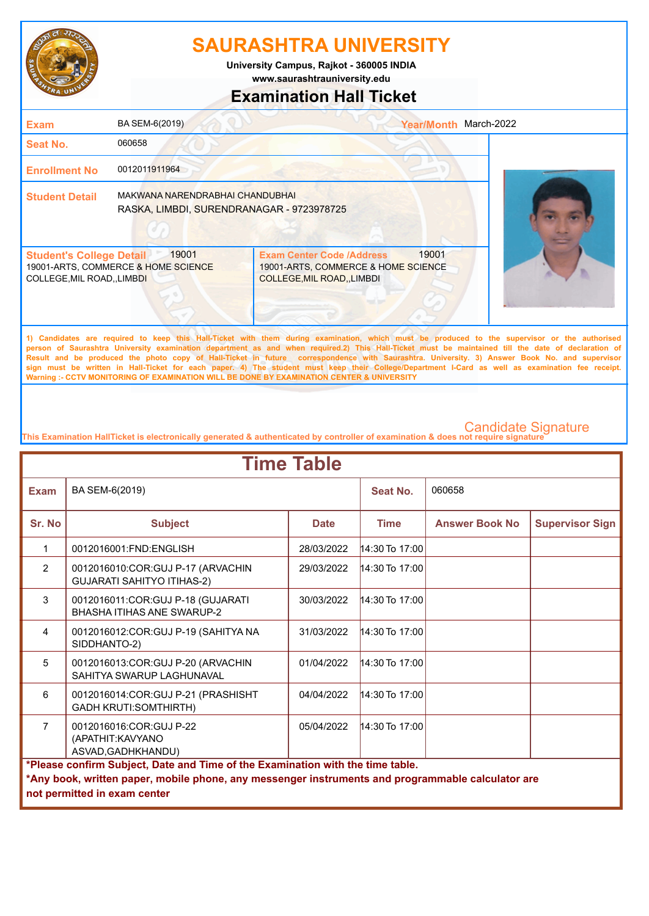

**www.saurashtrauniversity.edu University Campus, Rajkot - 360005 INDIA**

## **Examination Hall Ticket**

| <b>Exam</b>                                                    | BA SEM-6(2019)                                                               |                                                                                                                                              | <b>Year/Month</b> | March-2022 |
|----------------------------------------------------------------|------------------------------------------------------------------------------|----------------------------------------------------------------------------------------------------------------------------------------------|-------------------|------------|
| <b>Seat No.</b>                                                | 060658                                                                       |                                                                                                                                              |                   |            |
| <b>Enrollment No</b>                                           | 0012011911964                                                                |                                                                                                                                              |                   |            |
| <b>Student Detail</b>                                          | MAKWANA NARENDRABHAI CHANDUBHAI<br>RASKA, LIMBDI, SURENDRANAGAR - 9723978725 |                                                                                                                                              |                   |            |
| <b>Student's College Detail</b><br>COLLEGE, MIL ROAD, , LIMBDI | 19001<br>19001-ARTS, COMMERCE & HOME SCIENCE                                 | <b>Exam Center Code /Address</b><br>19001-ARTS, COMMERCE & HOME SCIENCE<br><b>COLLEGE, MIL ROAD, LIMBDI</b>                                  | 19001             |            |
|                                                                |                                                                              | 1) Candidates are required to keep this Hall-Ticket with them during examination, which must be produced to the supervisor or the authorised |                   |            |

**person of Saurashtra University examination department as and when required.2) This Hall-Ticket must be maintained till the date of declaration of Result and be produced the photo copy of Hall-Ticket in future correspondence with Saurashtra. University. 3) Answer Book No. and supervisor sign must be written in Hall-Ticket for each paper. 4) The student must keep their College/Department I-Card as well as examination fee receipt. Warning :- CCTV MONITORING OF EXAMINATION WILL BE DONE BY EXAMINATION CENTER & UNIVERSITY**

| <b>Time Table</b>                                                                                                                                                                                                   |                                                                                                      |             |                  |                       |                        |  |  |  |
|---------------------------------------------------------------------------------------------------------------------------------------------------------------------------------------------------------------------|------------------------------------------------------------------------------------------------------|-------------|------------------|-----------------------|------------------------|--|--|--|
| <b>Exam</b>                                                                                                                                                                                                         | BA SEM-6(2019)                                                                                       |             | Seat No.         | 060658                |                        |  |  |  |
| Sr. No                                                                                                                                                                                                              | <b>Subject</b>                                                                                       | <b>Date</b> | <b>Time</b>      | <b>Answer Book No</b> | <b>Supervisor Sign</b> |  |  |  |
| 1                                                                                                                                                                                                                   | 0012016001:FND:ENGLISH                                                                               | 28/03/2022  | $14:30$ To 17:00 |                       |                        |  |  |  |
| $\overline{2}$                                                                                                                                                                                                      | 0012016010:COR:GUJ P-17 (ARVACHIN<br><b>GUJARATI SAHITYO ITIHAS-2)</b>                               | 29/03/2022  | 14:30 To 17:00   |                       |                        |  |  |  |
| 3                                                                                                                                                                                                                   | 0012016011: COR: GUJ P-18 (GUJARATI<br><b>BHASHA ITIHAS ANE SWARUP-2</b>                             | 30/03/2022  | $14:30$ To 17:00 |                       |                        |  |  |  |
| 4                                                                                                                                                                                                                   | 0012016012:COR:GUJ P-19 (SAHITYA NA<br>SIDDHANTO-2)                                                  | 31/03/2022  | $14:30$ To 17:00 |                       |                        |  |  |  |
| 5                                                                                                                                                                                                                   | 0012016013:COR:GUJ P-20 (ARVACHIN<br>SAHITYA SWARUP LAGHUNAVAL                                       | 01/04/2022  | $14:30$ To 17:00 |                       |                        |  |  |  |
| 6                                                                                                                                                                                                                   | 0012016014:COR:GUJ P-21 (PRASHISHT<br><b>GADH KRUTI:SOMTHIRTH)</b>                                   | 04/04/2022  | $14:30$ To 17:00 |                       |                        |  |  |  |
| $\overline{7}$                                                                                                                                                                                                      | 0012016016:COR:GUJ P-22<br>05/04/2022<br>$14:30$ To 17:00<br>(APATHIT: KAVYANO<br>ASVAD, GADHKHANDU) |             |                  |                       |                        |  |  |  |
| *Please confirm Subject, Date and Time of the Examination with the time table.<br>*Any book, written paper, mobile phone, any messenger instruments and programmable calculator are<br>not permitted in exam center |                                                                                                      |             |                  |                       |                        |  |  |  |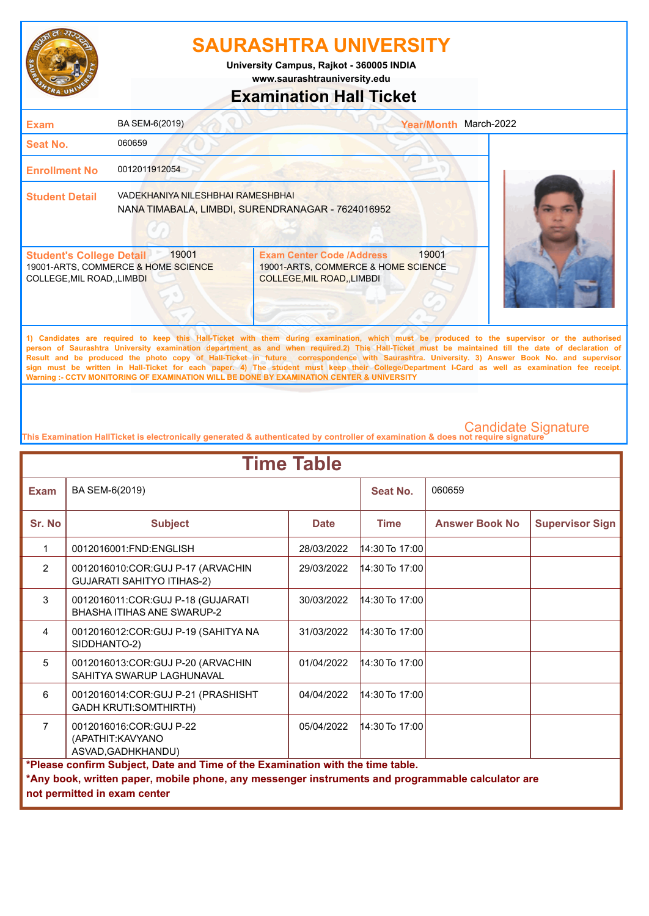

**www.saurashtrauniversity.edu University Campus, Rajkot - 360005 INDIA**

### **Examination Hall Ticket**

| <b>Exam</b>                                                    | BA SEM-6(2019)                               |                                                                                                        | <b>Year/Month</b> | March-2022 |
|----------------------------------------------------------------|----------------------------------------------|--------------------------------------------------------------------------------------------------------|-------------------|------------|
| Seat No.                                                       | 060659                                       |                                                                                                        |                   |            |
| <b>Enrollment No</b>                                           | 0012011912054                                |                                                                                                        |                   |            |
| <b>Student Detail</b>                                          | VADEKHANIYA NILESHBHAI RAMESHBHAI            | NANA TIMABALA, LIMBDI, SURENDRANAGAR - 7624016952                                                      |                   |            |
| <b>Student's College Detail</b><br>COLLEGE, MIL ROAD, , LIMBDI | 19001<br>19001-ARTS, COMMERCE & HOME SCIENCE | <b>Exam Center Code /Address</b><br>19001-ARTS, COMMERCE & HOME SCIENCE<br>COLLEGE, MIL ROAD, , LIMBDI | 19001             |            |
|                                                                |                                              |                                                                                                        |                   |            |

**1) Candidates are required to keep this Hall-Ticket with them during examination, which must be produced to the supervisor or the authorised person of Saurashtra University examination department as and when required.2) This Hall-Ticket must be maintained till the date of declaration of Result and be produced the photo copy of Hall-Ticket in future correspondence with Saurashtra. University. 3) Answer Book No. and supervisor sign must be written in Hall-Ticket for each paper. 4) The student must keep their College/Department I-Card as well as examination fee receipt. Warning :- CCTV MONITORING OF EXAMINATION WILL BE DONE BY EXAMINATION CENTER & UNIVERSITY**

| <b>Time Table</b>                                                                                                                                                                                                   |                                                                                                      |             |                  |                       |                        |  |  |  |
|---------------------------------------------------------------------------------------------------------------------------------------------------------------------------------------------------------------------|------------------------------------------------------------------------------------------------------|-------------|------------------|-----------------------|------------------------|--|--|--|
| <b>Exam</b>                                                                                                                                                                                                         | BA SEM-6(2019)                                                                                       |             | Seat No.         | 060659                |                        |  |  |  |
| Sr. No                                                                                                                                                                                                              | <b>Subject</b>                                                                                       | <b>Date</b> | <b>Time</b>      | <b>Answer Book No</b> | <b>Supervisor Sign</b> |  |  |  |
| 1                                                                                                                                                                                                                   | 0012016001:FND:ENGLISH                                                                               | 28/03/2022  | $14:30$ To 17:00 |                       |                        |  |  |  |
| $\overline{2}$                                                                                                                                                                                                      | 0012016010:COR:GUJ P-17 (ARVACHIN<br><b>GUJARATI SAHITYO ITIHAS-2)</b>                               | 29/03/2022  | 14:30 To 17:00   |                       |                        |  |  |  |
| 3                                                                                                                                                                                                                   | 0012016011:COR:GUJ P-18 (GUJARATI<br><b>BHASHA ITIHAS ANF SWARUP-2</b>                               | 30/03/2022  | $14:30$ To 17:00 |                       |                        |  |  |  |
| 4                                                                                                                                                                                                                   | 0012016012:COR:GUJ P-19 (SAHITYA NA<br>SIDDHANTO-2)                                                  | 31/03/2022  | $14:30$ To 17:00 |                       |                        |  |  |  |
| 5                                                                                                                                                                                                                   | 0012016013:COR:GUJ P-20 (ARVACHIN<br>SAHITYA SWARUP LAGHUNAVAL                                       | 01/04/2022  | 14:30 To 17:00   |                       |                        |  |  |  |
| 6                                                                                                                                                                                                                   | 0012016014: COR: GUJ P-21 (PRASHISHT<br><b>GADH KRUTI:SOMTHIRTH)</b>                                 | 04/04/2022  | $14:30$ To 17:00 |                       |                        |  |  |  |
| $\overline{7}$                                                                                                                                                                                                      | 0012016016:COR:GUJ P-22<br>05/04/2022<br>$14:30$ To 17:00<br>(APATHIT: KAVYANO<br>ASVAD, GADHKHANDU) |             |                  |                       |                        |  |  |  |
| *Please confirm Subject, Date and Time of the Examination with the time table.<br>*Any book, written paper, mobile phone, any messenger instruments and programmable calculator are<br>not permitted in exam center |                                                                                                      |             |                  |                       |                        |  |  |  |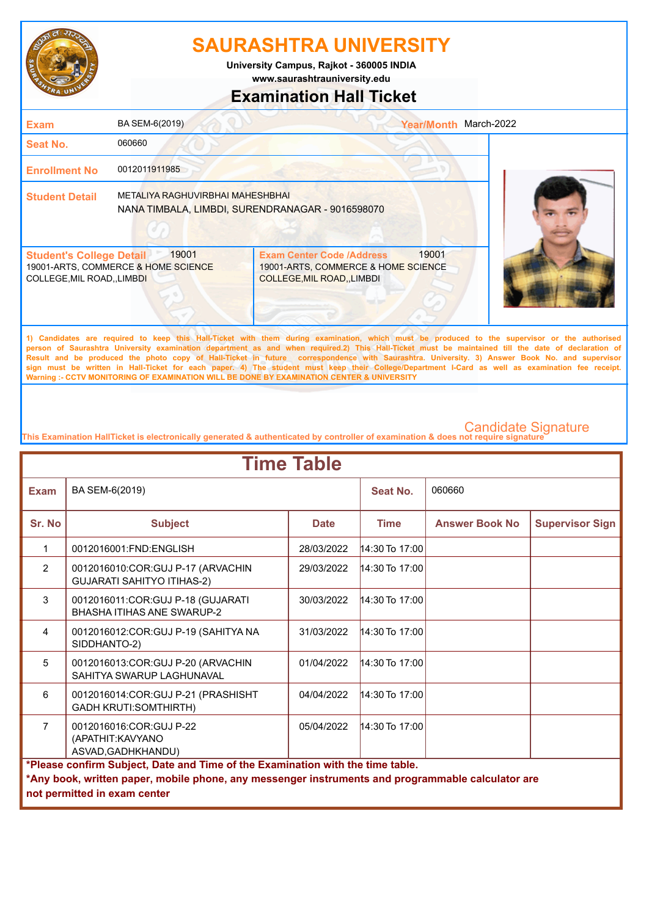

**www.saurashtrauniversity.edu University Campus, Rajkot - 360005 INDIA**

### **Examination Hall Ticket**

| <b>Exam</b>                                                    | BA SEM-6(2019)                                                                       |                                                                                                             | <b>Year/Month</b> | March-2022                                                                                                                                  |
|----------------------------------------------------------------|--------------------------------------------------------------------------------------|-------------------------------------------------------------------------------------------------------------|-------------------|---------------------------------------------------------------------------------------------------------------------------------------------|
| <b>Seat No.</b>                                                | 060660                                                                               |                                                                                                             |                   |                                                                                                                                             |
| <b>Enrollment No</b>                                           | 0012011911985                                                                        |                                                                                                             |                   |                                                                                                                                             |
| <b>Student Detail</b>                                          | METALIYA RAGHUVIRBHAI MAHESHBHAI<br>NANA TIMBALA, LIMBDI, SURENDRANAGAR - 9016598070 |                                                                                                             |                   |                                                                                                                                             |
| <b>Student's College Detail</b><br>COLLEGE, MIL ROAD, , LIMBDI | 19001<br>19001-ARTS, COMMERCE & HOME SCIENCE                                         | <b>Exam Center Code /Address</b><br>19001-ARTS, COMMERCE & HOME SCIENCE<br><b>COLLEGE, MIL ROAD, LIMBDI</b> | 19001             |                                                                                                                                             |
|                                                                |                                                                                      |                                                                                                             |                   | 1) Candidates are required to keep this Hall-Ticket with them during examination which must be produced to the supervisor or the authorised |

**1) Candidates are required to keep this Hall-Ticket with them during examination, which must be produced to the supervisor or the authorised person of Saurashtra University examination department as and when required.2) This Hall-Ticket must be maintained till the date of declaration of Result and be produced the photo copy of Hall-Ticket in future correspondence with Saurashtra. University. 3) Answer Book No. and supervisor sign must be written in Hall-Ticket for each paper. 4) The student must keep their College/Department I-Card as well as examination fee receipt. Warning :- CCTV MONITORING OF EXAMINATION WILL BE DONE BY EXAMINATION CENTER & UNIVERSITY**

| <b>Time Table</b>                                                                                                                                                                                                   |                                                                        |             |                  |                       |                        |  |
|---------------------------------------------------------------------------------------------------------------------------------------------------------------------------------------------------------------------|------------------------------------------------------------------------|-------------|------------------|-----------------------|------------------------|--|
| <b>Exam</b>                                                                                                                                                                                                         | BA SEM-6(2019)                                                         |             | Seat No.         | 060660                |                        |  |
| Sr. No                                                                                                                                                                                                              | <b>Subject</b>                                                         | <b>Date</b> | <b>Time</b>      | <b>Answer Book No</b> | <b>Supervisor Sign</b> |  |
| $\mathbf{1}$                                                                                                                                                                                                        | 0012016001:FND:ENGLISH                                                 | 28/03/2022  | $14:30$ To 17:00 |                       |                        |  |
| $\overline{2}$                                                                                                                                                                                                      | 0012016010:COR:GUJ P-17 (ARVACHIN<br><b>GUJARATI SAHITYO ITIHAS-2)</b> | 29/03/2022  | $14:30$ To 17:00 |                       |                        |  |
| 3                                                                                                                                                                                                                   | 0012016011:COR:GUJ P-18 (GUJARATI<br><b>BHASHA ITIHAS ANE SWARUP-2</b> | 30/03/2022  | $14:30$ To 17:00 |                       |                        |  |
| $\overline{4}$                                                                                                                                                                                                      | 0012016012:COR:GUJ P-19 (SAHITYA NA<br>SIDDHANTO-2)                    | 31/03/2022  | $14:30$ To 17:00 |                       |                        |  |
| 5                                                                                                                                                                                                                   | 0012016013:COR:GUJ P-20 (ARVACHIN<br>SAHITYA SWARUP LAGHUNAVAL         | 01/04/2022  | 14:30 To 17:00   |                       |                        |  |
| 6                                                                                                                                                                                                                   | 0012016014:COR:GUJ P-21 (PRASHISHT<br><b>GADH KRUTI:SOMTHIRTH)</b>     | 04/04/2022  | 14:30 To 17:00   |                       |                        |  |
| $\overline{7}$                                                                                                                                                                                                      | 0012016016:COR:GUJ P-22<br>(APATHIT: KAVYANO<br>ASVAD, GADHKHANDU)     | 05/04/2022  | 14:30 To 17:00   |                       |                        |  |
| *Please confirm Subject, Date and Time of the Examination with the time table.<br>*Any book, written paper, mobile phone, any messenger instruments and programmable calculator are<br>not permitted in exam center |                                                                        |             |                  |                       |                        |  |